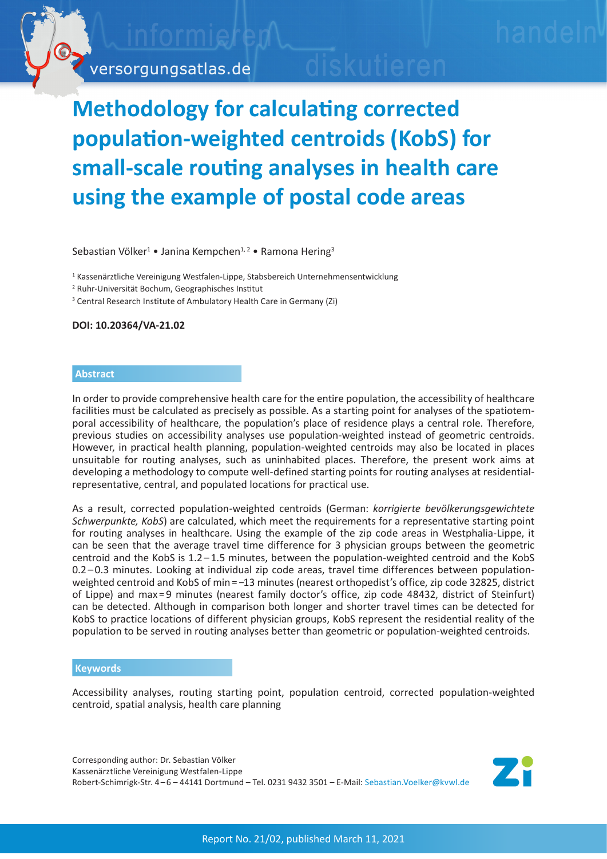

## **Methodology for calculating corrected population-weighted centroids (KobS) for small-scale routing analyses in health care using the example of postal code areas**

Sebastian Völker<sup>1</sup> • Janina Kempchen<sup>1,2</sup> • Ramona Hering<sup>3</sup>

<sup>1</sup> Kassenärztliche Vereinigung Westfalen-Lippe, Stabsbereich Unternehmensentwicklung

2 Ruhr-Universität Bochum, Geographisches Institut

<sup>3</sup> Central Research Institute of Ambulatory Health Care in Germany (Zi)

**DOI: 10.20364/VA-21.02**

## **Abstract**

In order to provide comprehensive health care for the entire population, the accessibility of healthcare facilities must be calculated as precisely as possible. As a starting point for analyses of the spatiotemporal accessibility of healthcare, the population's place of residence plays a central role. Therefore, previous studies on accessibility analyses use population-weighted instead of geometric centroids. However, in practical health planning, population-weighted centroids may also be located in places unsuitable for routing analyses, such as uninhabited places. Therefore, the present work aims at developing a methodology to compute well-defined starting points for routing analyses at residentialrepresentative, central, and populated locations for practical use.

As a result, corrected population-weighted centroids (German: *korrigierte bevölkerungsgewichtete Schwerpunkte, KobS*) are calculated, which meet the requirements for a representative starting point for routing analyses in healthcare. Using the example of the zip code areas in Westphalia-Lippe, it can be seen that the average travel time difference for 3 physician groups between the geometric centroid and the KobS is 1.2 – 1.5 minutes, between the population-weighted centroid and the KobS 0.2 – 0.3 minutes. Looking at individual zip code areas, travel time differences between populationweighted centroid and KobS of min = -13 minutes (nearest orthopedist's office, zip code 32825, district of Lippe) and max = 9 minutes (nearest family doctor's office, zip code 48432, district of Steinfurt) can be detected. Although in comparison both longer and shorter travel times can be detected for KobS to practice locations of different physician groups, KobS represent the residential reality of the population to be served in routing analyses better than geometric or population-weighted centroids.

## **Keywords**

Accessibility analyses, routing starting point, population centroid, corrected population-weighted centroid, spatial analysis, health care planning

Corresponding author: Dr. Sebastian Völker Kassenärztliche Vereinigung Westfalen-Lippe Robert-Schimrigk-Str. 4-6-44141 Dortmund - Tel. 0231 9432 3501 - E-Mail: [Sebastian.Voelker@kvwl.de](mailto:Sebastian.Voelker%40kvwl.de?subject=Versorgungsatlas-Bericht%2021/02%20Routinganalysen)